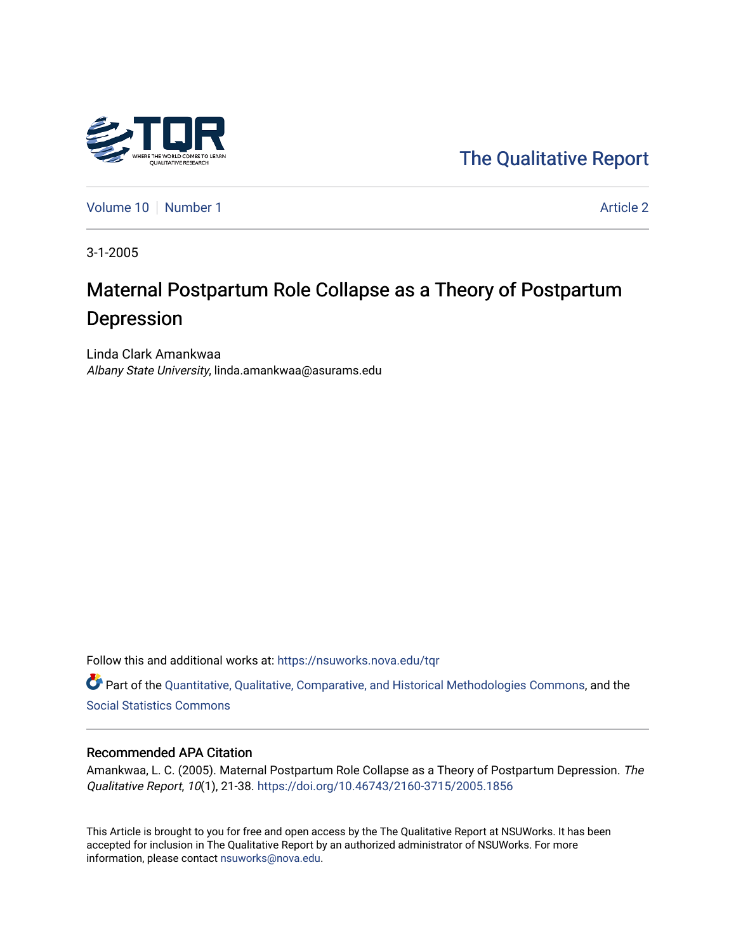

[The Qualitative Report](https://nsuworks.nova.edu/tqr) 

[Volume 10](https://nsuworks.nova.edu/tqr/vol10) [Number 1](https://nsuworks.nova.edu/tqr/vol10/iss1) Article 2

3-1-2005

# Maternal Postpartum Role Collapse as a Theory of Postpartum Depression

Linda Clark Amankwaa Albany State University, linda.amankwaa@asurams.edu

Follow this and additional works at: [https://nsuworks.nova.edu/tqr](https://nsuworks.nova.edu/tqr?utm_source=nsuworks.nova.edu%2Ftqr%2Fvol10%2Fiss1%2F2&utm_medium=PDF&utm_campaign=PDFCoverPages) 

Part of the [Quantitative, Qualitative, Comparative, and Historical Methodologies Commons,](http://network.bepress.com/hgg/discipline/423?utm_source=nsuworks.nova.edu%2Ftqr%2Fvol10%2Fiss1%2F2&utm_medium=PDF&utm_campaign=PDFCoverPages) and the [Social Statistics Commons](http://network.bepress.com/hgg/discipline/1275?utm_source=nsuworks.nova.edu%2Ftqr%2Fvol10%2Fiss1%2F2&utm_medium=PDF&utm_campaign=PDFCoverPages) 

## Recommended APA Citation

Amankwaa, L. C. (2005). Maternal Postpartum Role Collapse as a Theory of Postpartum Depression. The Qualitative Report, 10(1), 21-38.<https://doi.org/10.46743/2160-3715/2005.1856>

This Article is brought to you for free and open access by the The Qualitative Report at NSUWorks. It has been accepted for inclusion in The Qualitative Report by an authorized administrator of NSUWorks. For more information, please contact [nsuworks@nova.edu.](mailto:nsuworks@nova.edu)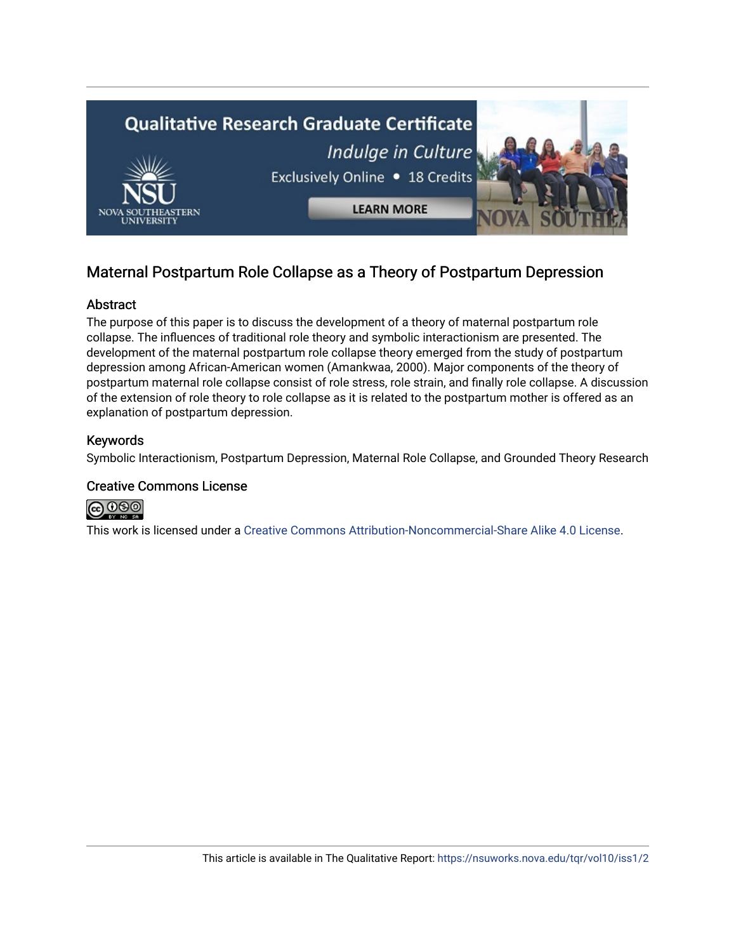

## Maternal Postpartum Role Collapse as a Theory of Postpartum Depression

## Abstract

The purpose of this paper is to discuss the development of a theory of maternal postpartum role collapse. The influences of traditional role theory and symbolic interactionism are presented. The development of the maternal postpartum role collapse theory emerged from the study of postpartum depression among African-American women (Amankwaa, 2000). Major components of the theory of postpartum maternal role collapse consist of role stress, role strain, and finally role collapse. A discussion of the extension of role theory to role collapse as it is related to the postpartum mother is offered as an explanation of postpartum depression.

## Keywords

Symbolic Interactionism, Postpartum Depression, Maternal Role Collapse, and Grounded Theory Research

## Creative Commons License



This work is licensed under a [Creative Commons Attribution-Noncommercial-Share Alike 4.0 License](https://creativecommons.org/licenses/by-nc-sa/4.0/).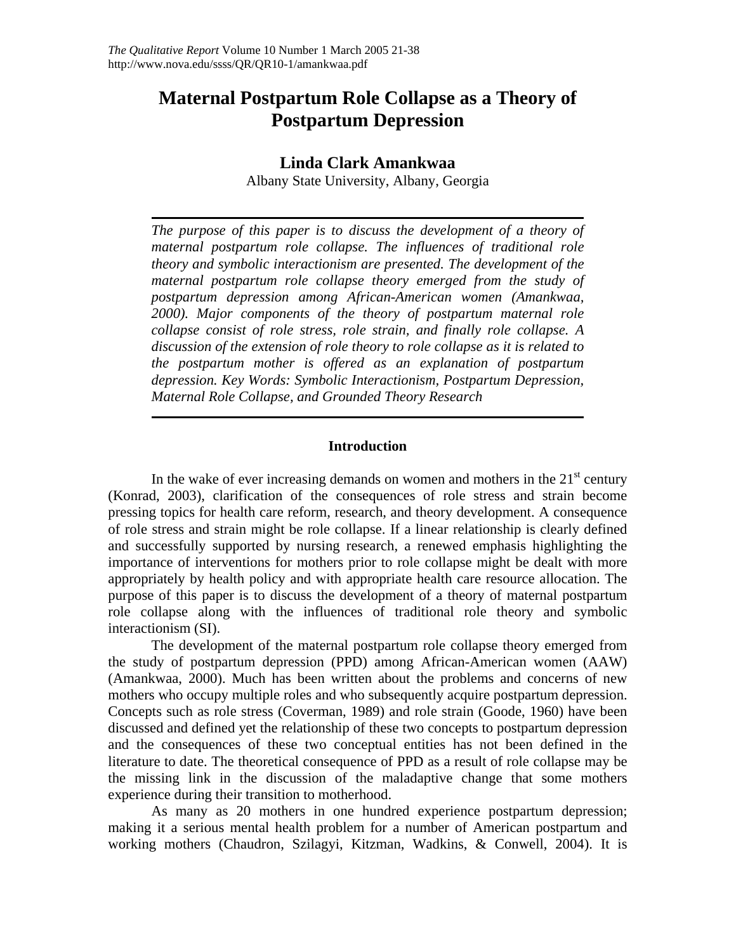## **Maternal Postpartum Role Collapse as a Theory of Postpartum Depression**

## **Linda Clark Amankwaa**

Albany State University, Albany, Georgia

*The purpose of this paper is to discuss the development of a theory of maternal postpartum role collapse. The influences of traditional role theory and symbolic interactionism are presented. The development of the maternal postpartum role collapse theory emerged from the study of postpartum depression among African-American women (Amankwaa, 2000). Major components of the theory of postpartum maternal role collapse consist of role stress, role strain, and finally role collapse. A discussion of the extension of role theory to role collapse as it is related to the postpartum mother is offered as an explanation of postpartum depression. Key Words: Symbolic Interactionism, Postpartum Depression, Maternal Role Collapse, and Grounded Theory Research* 

## **Introduction**

In the wake of ever increasing demands on women and mothers in the  $21<sup>st</sup>$  century (Konrad, 2003), clarification of the consequences of role stress and strain become pressing topics for health care reform, research, and theory development. A consequence of role stress and strain might be role collapse. If a linear relationship is clearly defined and successfully supported by nursing research, a renewed emphasis highlighting the importance of interventions for mothers prior to role collapse might be dealt with more appropriately by health policy and with appropriate health care resource allocation. The purpose of this paper is to discuss the development of a theory of maternal postpartum role collapse along with the influences of traditional role theory and symbolic interactionism (SI).

The development of the maternal postpartum role collapse theory emerged from the study of postpartum depression (PPD) among African-American women (AAW) (Amankwaa, 2000). Much has been written about the problems and concerns of new mothers who occupy multiple roles and who subsequently acquire postpartum depression. Concepts such as role stress (Coverman, 1989) and role strain (Goode, 1960) have been discussed and defined yet the relationship of these two concepts to postpartum depression and the consequences of these two conceptual entities has not been defined in the literature to date. The theoretical consequence of PPD as a result of role collapse may be the missing link in the discussion of the maladaptive change that some mothers experience during their transition to motherhood.

As many as 20 mothers in one hundred experience postpartum depression; making it a serious mental health problem for a number of American postpartum and working mothers (Chaudron, Szilagyi, Kitzman, Wadkins, & Conwell, 2004). It is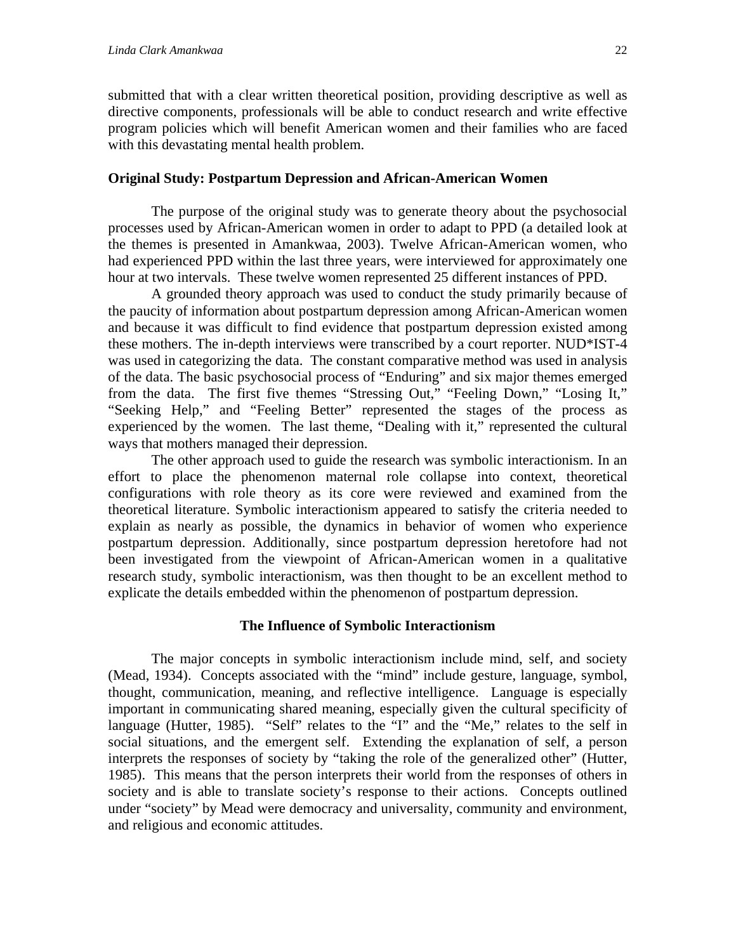submitted that with a clear written theoretical position, providing descriptive as well as directive components, professionals will be able to conduct research and write effective program policies which will benefit American women and their families who are faced with this devastating mental health problem.

### **Original Study: Postpartum Depression and African-American Women**

The purpose of the original study was to generate theory about the psychosocial processes used by African-American women in order to adapt to PPD (a detailed look at the themes is presented in Amankwaa, 2003). Twelve African-American women, who had experienced PPD within the last three years, were interviewed for approximately one hour at two intervals. These twelve women represented 25 different instances of PPD.

A grounded theory approach was used to conduct the study primarily because of the paucity of information about postpartum depression among African-American women and because it was difficult to find evidence that postpartum depression existed among these mothers. The in-depth interviews were transcribed by a court reporter. NUD\*IST-4 was used in categorizing the data. The constant comparative method was used in analysis of the data. The basic psychosocial process of "Enduring" and six major themes emerged from the data. The first five themes "Stressing Out," "Feeling Down," "Losing It," "Seeking Help," and "Feeling Better" represented the stages of the process as experienced by the women. The last theme, "Dealing with it," represented the cultural ways that mothers managed their depression.

The other approach used to guide the research was symbolic interactionism. In an effort to place the phenomenon maternal role collapse into context, theoretical configurations with role theory as its core were reviewed and examined from the theoretical literature. Symbolic interactionism appeared to satisfy the criteria needed to explain as nearly as possible, the dynamics in behavior of women who experience postpartum depression. Additionally, since postpartum depression heretofore had not been investigated from the viewpoint of African-American women in a qualitative research study, symbolic interactionism, was then thought to be an excellent method to explicate the details embedded within the phenomenon of postpartum depression.

#### **The Influence of Symbolic Interactionism**

The major concepts in symbolic interactionism include mind, self, and society (Mead, 1934). Concepts associated with the "mind" include gesture, language, symbol, thought, communication, meaning, and reflective intelligence. Language is especially important in communicating shared meaning, especially given the cultural specificity of language (Hutter, 1985). "Self" relates to the "I" and the "Me," relates to the self in social situations, and the emergent self. Extending the explanation of self, a person interprets the responses of society by "taking the role of the generalized other" (Hutter, 1985). This means that the person interprets their world from the responses of others in society and is able to translate society's response to their actions. Concepts outlined under "society" by Mead were democracy and universality, community and environment, and religious and economic attitudes.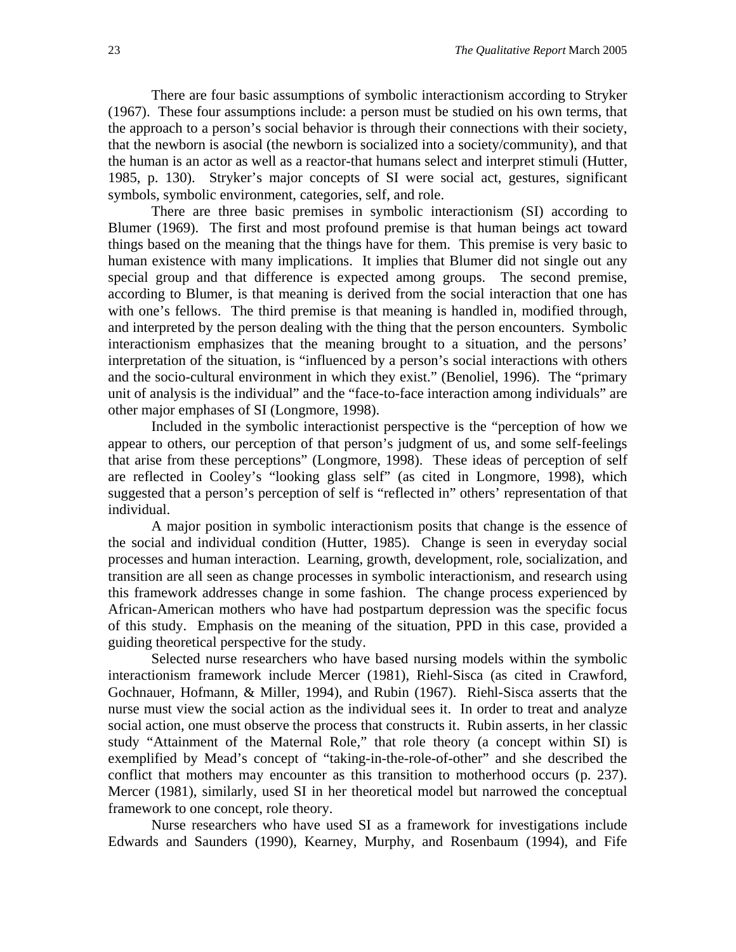There are four basic assumptions of symbolic interactionism according to Stryker (1967). These four assumptions include: a person must be studied on his own terms, that the approach to a person's social behavior is through their connections with their society, that the newborn is asocial (the newborn is socialized into a society/community), and that the human is an actor as well as a reactor-that humans select and interpret stimuli (Hutter, 1985, p. 130). Stryker's major concepts of SI were social act, gestures, significant symbols, symbolic environment, categories, self, and role.

There are three basic premises in symbolic interactionism (SI) according to Blumer (1969). The first and most profound premise is that human beings act toward things based on the meaning that the things have for them. This premise is very basic to human existence with many implications. It implies that Blumer did not single out any special group and that difference is expected among groups. The second premise, according to Blumer, is that meaning is derived from the social interaction that one has with one's fellows. The third premise is that meaning is handled in, modified through, and interpreted by the person dealing with the thing that the person encounters. Symbolic interactionism emphasizes that the meaning brought to a situation, and the persons' interpretation of the situation, is "influenced by a person's social interactions with others and the socio-cultural environment in which they exist." (Benoliel, 1996). The "primary unit of analysis is the individual" and the "face-to-face interaction among individuals" are other major emphases of SI (Longmore, 1998).

Included in the symbolic interactionist perspective is the "perception of how we appear to others, our perception of that person's judgment of us, and some self-feelings that arise from these perceptions" (Longmore, 1998). These ideas of perception of self are reflected in Cooley's "looking glass self" (as cited in Longmore, 1998), which suggested that a person's perception of self is "reflected in" others' representation of that individual.

A major position in symbolic interactionism posits that change is the essence of the social and individual condition (Hutter, 1985). Change is seen in everyday social processes and human interaction. Learning, growth, development, role, socialization, and transition are all seen as change processes in symbolic interactionism, and research using this framework addresses change in some fashion. The change process experienced by African-American mothers who have had postpartum depression was the specific focus of this study. Emphasis on the meaning of the situation, PPD in this case, provided a guiding theoretical perspective for the study.

Selected nurse researchers who have based nursing models within the symbolic interactionism framework include Mercer (1981), Riehl-Sisca (as cited in Crawford, Gochnauer, Hofmann, & Miller, 1994), and Rubin (1967). Riehl-Sisca asserts that the nurse must view the social action as the individual sees it. In order to treat and analyze social action, one must observe the process that constructs it. Rubin asserts, in her classic study "Attainment of the Maternal Role," that role theory (a concept within SI) is exemplified by Mead's concept of "taking-in-the-role-of-other" and she described the conflict that mothers may encounter as this transition to motherhood occurs (p. 237). Mercer (1981), similarly, used SI in her theoretical model but narrowed the conceptual framework to one concept, role theory.

Nurse researchers who have used SI as a framework for investigations include Edwards and Saunders (1990), Kearney, Murphy, and Rosenbaum (1994), and Fife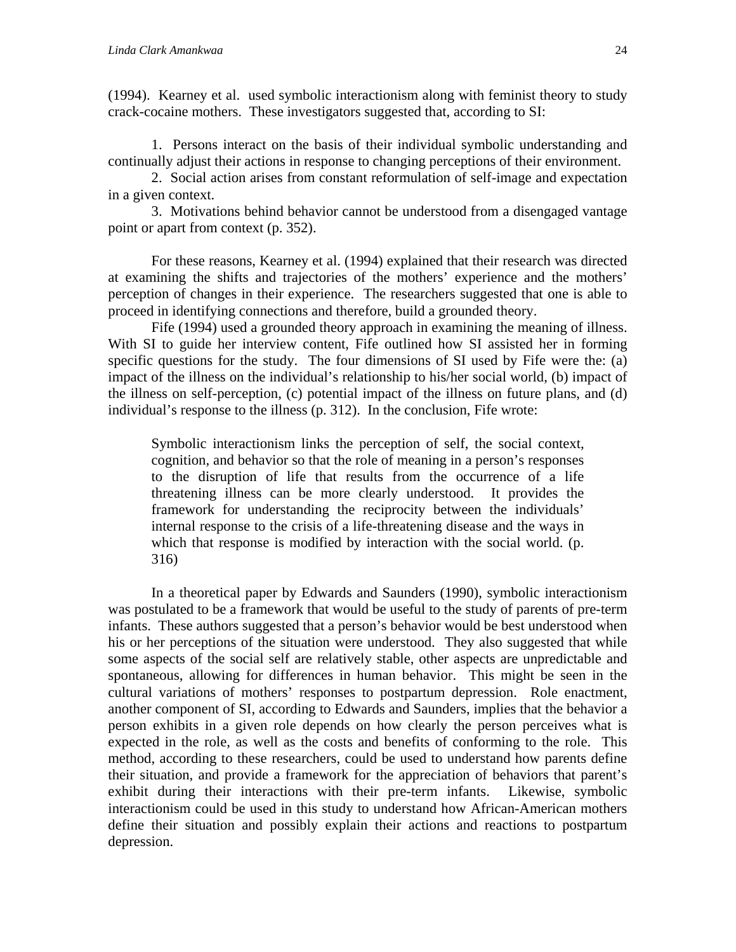(1994). Kearney et al. used symbolic interactionism along with feminist theory to study crack-cocaine mothers. These investigators suggested that, according to SI:

1. Persons interact on the basis of their individual symbolic understanding and continually adjust their actions in response to changing perceptions of their environment.

2. Social action arises from constant reformulation of self-image and expectation in a given context.

3. Motivations behind behavior cannot be understood from a disengaged vantage point or apart from context (p. 352).

For these reasons, Kearney et al. (1994) explained that their research was directed at examining the shifts and trajectories of the mothers' experience and the mothers' perception of changes in their experience. The researchers suggested that one is able to proceed in identifying connections and therefore, build a grounded theory.

Fife (1994) used a grounded theory approach in examining the meaning of illness. With SI to guide her interview content, Fife outlined how SI assisted her in forming specific questions for the study. The four dimensions of SI used by Fife were the: (a) impact of the illness on the individual's relationship to his/her social world, (b) impact of the illness on self-perception, (c) potential impact of the illness on future plans, and (d) individual's response to the illness (p. 312). In the conclusion, Fife wrote:

Symbolic interactionism links the perception of self, the social context, cognition, and behavior so that the role of meaning in a person's responses to the disruption of life that results from the occurrence of a life threatening illness can be more clearly understood. It provides the framework for understanding the reciprocity between the individuals' internal response to the crisis of a life-threatening disease and the ways in which that response is modified by interaction with the social world. (p. 316)

In a theoretical paper by Edwards and Saunders (1990), symbolic interactionism was postulated to be a framework that would be useful to the study of parents of pre-term infants. These authors suggested that a person's behavior would be best understood when his or her perceptions of the situation were understood. They also suggested that while some aspects of the social self are relatively stable, other aspects are unpredictable and spontaneous, allowing for differences in human behavior. This might be seen in the cultural variations of mothers' responses to postpartum depression. Role enactment, another component of SI, according to Edwards and Saunders, implies that the behavior a person exhibits in a given role depends on how clearly the person perceives what is expected in the role, as well as the costs and benefits of conforming to the role. This method, according to these researchers, could be used to understand how parents define their situation, and provide a framework for the appreciation of behaviors that parent's exhibit during their interactions with their pre-term infants. Likewise, symbolic interactionism could be used in this study to understand how African-American mothers define their situation and possibly explain their actions and reactions to postpartum depression.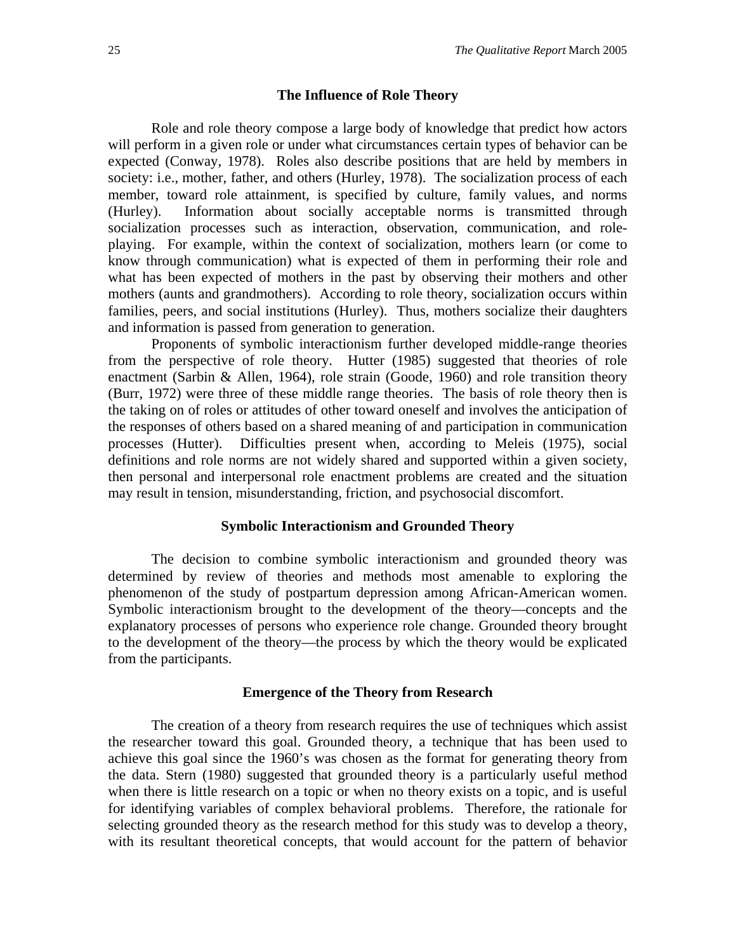#### **The Influence of Role Theory**

Role and role theory compose a large body of knowledge that predict how actors will perform in a given role or under what circumstances certain types of behavior can be expected (Conway, 1978). Roles also describe positions that are held by members in society: i.e., mother, father, and others (Hurley, 1978). The socialization process of each member, toward role attainment, is specified by culture, family values, and norms (Hurley). Information about socially acceptable norms is transmitted through socialization processes such as interaction, observation, communication, and roleplaying. For example, within the context of socialization, mothers learn (or come to know through communication) what is expected of them in performing their role and what has been expected of mothers in the past by observing their mothers and other mothers (aunts and grandmothers). According to role theory, socialization occurs within families, peers, and social institutions (Hurley). Thus, mothers socialize their daughters and information is passed from generation to generation.

Proponents of symbolic interactionism further developed middle-range theories from the perspective of role theory. Hutter (1985) suggested that theories of role enactment (Sarbin & Allen, 1964), role strain (Goode, 1960) and role transition theory (Burr, 1972) were three of these middle range theories. The basis of role theory then is the taking on of roles or attitudes of other toward oneself and involves the anticipation of the responses of others based on a shared meaning of and participation in communication processes (Hutter). Difficulties present when, according to Meleis (1975), social definitions and role norms are not widely shared and supported within a given society, then personal and interpersonal role enactment problems are created and the situation may result in tension, misunderstanding, friction, and psychosocial discomfort.

#### **Symbolic Interactionism and Grounded Theory**

The decision to combine symbolic interactionism and grounded theory was determined by review of theories and methods most amenable to exploring the phenomenon of the study of postpartum depression among African-American women. Symbolic interactionism brought to the development of the theory—concepts and the explanatory processes of persons who experience role change. Grounded theory brought to the development of the theory—the process by which the theory would be explicated from the participants.

#### **Emergence of the Theory from Research**

The creation of a theory from research requires the use of techniques which assist the researcher toward this goal. Grounded theory, a technique that has been used to achieve this goal since the 1960's was chosen as the format for generating theory from the data. Stern (1980) suggested that grounded theory is a particularly useful method when there is little research on a topic or when no theory exists on a topic, and is useful for identifying variables of complex behavioral problems. Therefore, the rationale for selecting grounded theory as the research method for this study was to develop a theory, with its resultant theoretical concepts, that would account for the pattern of behavior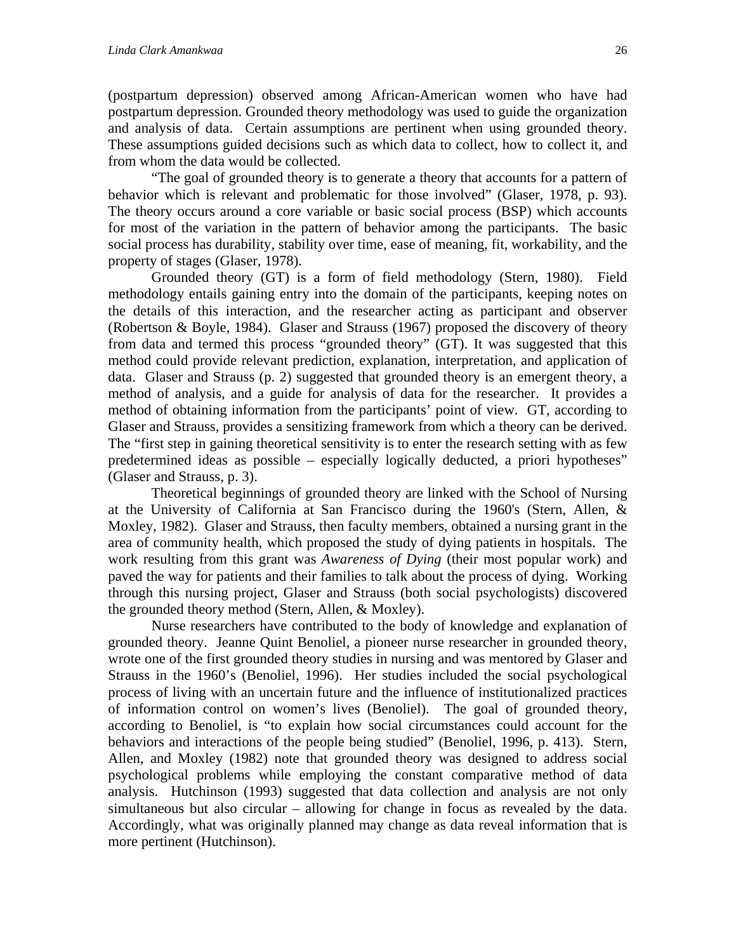(postpartum depression) observed among African-American women who have had postpartum depression. Grounded theory methodology was used to guide the organization and analysis of data. Certain assumptions are pertinent when using grounded theory. These assumptions guided decisions such as which data to collect, how to collect it, and from whom the data would be collected.

"The goal of grounded theory is to generate a theory that accounts for a pattern of behavior which is relevant and problematic for those involved" (Glaser, 1978, p. 93). The theory occurs around a core variable or basic social process (BSP) which accounts for most of the variation in the pattern of behavior among the participants. The basic social process has durability, stability over time, ease of meaning, fit, workability, and the property of stages (Glaser, 1978).

Grounded theory (GT) is a form of field methodology (Stern, 1980). Field methodology entails gaining entry into the domain of the participants, keeping notes on the details of this interaction, and the researcher acting as participant and observer (Robertson & Boyle, 1984). Glaser and Strauss (1967) proposed the discovery of theory from data and termed this process "grounded theory" (GT). It was suggested that this method could provide relevant prediction, explanation, interpretation, and application of data. Glaser and Strauss (p. 2) suggested that grounded theory is an emergent theory, a method of analysis, and a guide for analysis of data for the researcher. It provides a method of obtaining information from the participants' point of view. GT, according to Glaser and Strauss, provides a sensitizing framework from which a theory can be derived. The "first step in gaining theoretical sensitivity is to enter the research setting with as few predetermined ideas as possible – especially logically deducted, a priori hypotheses" (Glaser and Strauss, p. 3).

Theoretical beginnings of grounded theory are linked with the School of Nursing at the University of California at San Francisco during the 1960's (Stern, Allen, & Moxley, 1982). Glaser and Strauss, then faculty members, obtained a nursing grant in the area of community health, which proposed the study of dying patients in hospitals. The work resulting from this grant was *Awareness of Dying* (their most popular work) and paved the way for patients and their families to talk about the process of dying. Working through this nursing project, Glaser and Strauss (both social psychologists) discovered the grounded theory method (Stern, Allen, & Moxley).

Nurse researchers have contributed to the body of knowledge and explanation of grounded theory. Jeanne Quint Benoliel, a pioneer nurse researcher in grounded theory, wrote one of the first grounded theory studies in nursing and was mentored by Glaser and Strauss in the 1960's (Benoliel, 1996). Her studies included the social psychological process of living with an uncertain future and the influence of institutionalized practices of information control on women's lives (Benoliel). The goal of grounded theory, according to Benoliel, is "to explain how social circumstances could account for the behaviors and interactions of the people being studied" (Benoliel, 1996, p. 413). Stern, Allen, and Moxley (1982) note that grounded theory was designed to address social psychological problems while employing the constant comparative method of data analysis. Hutchinson (1993) suggested that data collection and analysis are not only simultaneous but also circular – allowing for change in focus as revealed by the data. Accordingly, what was originally planned may change as data reveal information that is more pertinent (Hutchinson).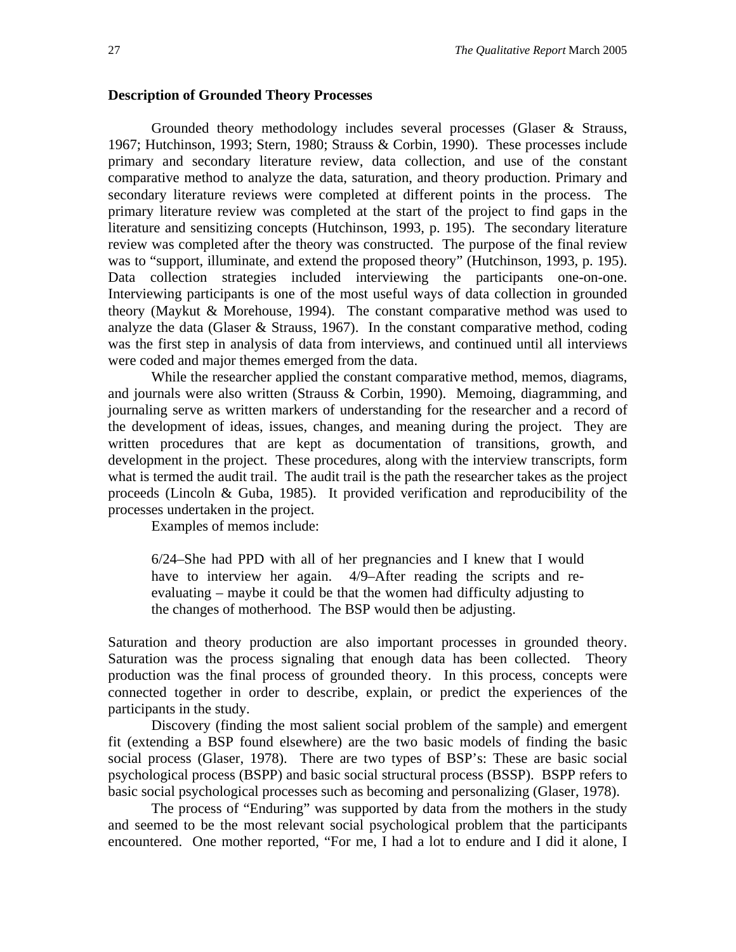## **Description of Grounded Theory Processes**

Grounded theory methodology includes several processes (Glaser & Strauss, 1967; Hutchinson, 1993; Stern, 1980; Strauss & Corbin, 1990). These processes include primary and secondary literature review, data collection, and use of the constant comparative method to analyze the data, saturation, and theory production. Primary and secondary literature reviews were completed at different points in the process. The primary literature review was completed at the start of the project to find gaps in the literature and sensitizing concepts (Hutchinson, 1993, p. 195). The secondary literature review was completed after the theory was constructed. The purpose of the final review was to "support, illuminate, and extend the proposed theory" (Hutchinson, 1993, p. 195). Data collection strategies included interviewing the participants one-on-one. Interviewing participants is one of the most useful ways of data collection in grounded theory (Maykut & Morehouse, 1994). The constant comparative method was used to analyze the data (Glaser  $\&$  Strauss, 1967). In the constant comparative method, coding was the first step in analysis of data from interviews, and continued until all interviews were coded and major themes emerged from the data.

While the researcher applied the constant comparative method, memos, diagrams, and journals were also written (Strauss & Corbin, 1990). Memoing, diagramming, and journaling serve as written markers of understanding for the researcher and a record of the development of ideas, issues, changes, and meaning during the project. They are written procedures that are kept as documentation of transitions, growth, and development in the project. These procedures, along with the interview transcripts, form what is termed the audit trail. The audit trail is the path the researcher takes as the project proceeds (Lincoln & Guba, 1985). It provided verification and reproducibility of the processes undertaken in the project.

Examples of memos include:

6/24–She had PPD with all of her pregnancies and I knew that I would have to interview her again. 4/9–After reading the scripts and reevaluating – maybe it could be that the women had difficulty adjusting to the changes of motherhood. The BSP would then be adjusting.

Saturation and theory production are also important processes in grounded theory. Saturation was the process signaling that enough data has been collected. Theory production was the final process of grounded theory. In this process, concepts were connected together in order to describe, explain, or predict the experiences of the participants in the study.

Discovery (finding the most salient social problem of the sample) and emergent fit (extending a BSP found elsewhere) are the two basic models of finding the basic social process (Glaser, 1978). There are two types of BSP's: These are basic social psychological process (BSPP) and basic social structural process (BSSP). BSPP refers to basic social psychological processes such as becoming and personalizing (Glaser, 1978).

The process of "Enduring" was supported by data from the mothers in the study and seemed to be the most relevant social psychological problem that the participants encountered. One mother reported, "For me, I had a lot to endure and I did it alone, I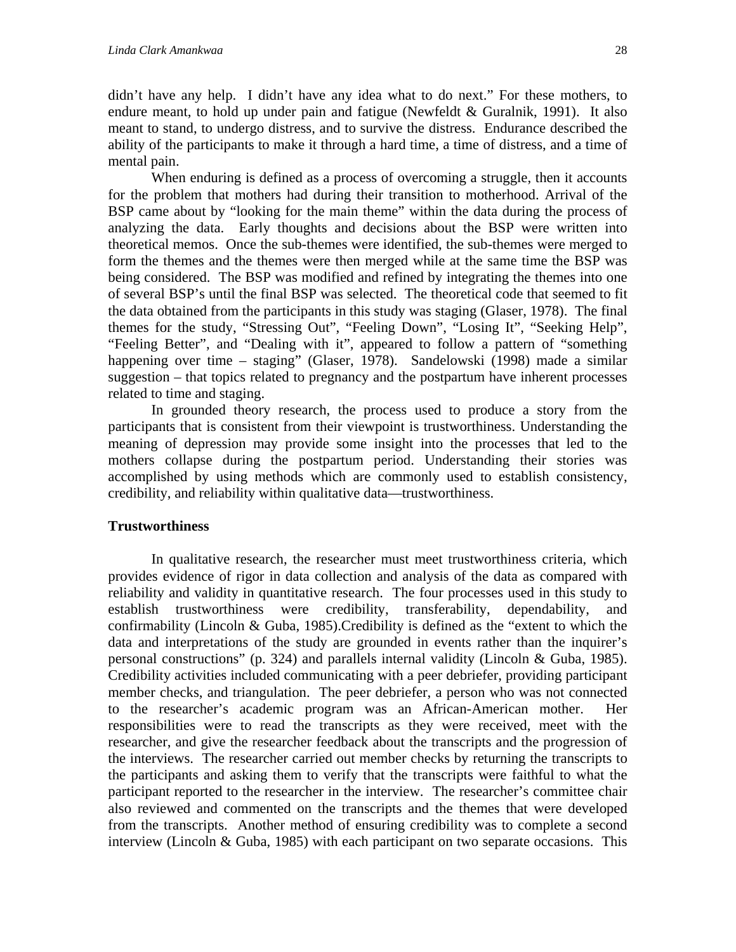didn't have any help. I didn't have any idea what to do next." For these mothers, to endure meant, to hold up under pain and fatigue (Newfeldt & Guralnik, 1991). It also meant to stand, to undergo distress, and to survive the distress. Endurance described the ability of the participants to make it through a hard time, a time of distress, and a time of mental pain.

When enduring is defined as a process of overcoming a struggle, then it accounts for the problem that mothers had during their transition to motherhood. Arrival of the BSP came about by "looking for the main theme" within the data during the process of analyzing the data. Early thoughts and decisions about the BSP were written into theoretical memos. Once the sub-themes were identified, the sub-themes were merged to form the themes and the themes were then merged while at the same time the BSP was being considered. The BSP was modified and refined by integrating the themes into one of several BSP's until the final BSP was selected. The theoretical code that seemed to fit the data obtained from the participants in this study was staging (Glaser, 1978). The final themes for the study, "Stressing Out", "Feeling Down", "Losing It", "Seeking Help", "Feeling Better", and "Dealing with it", appeared to follow a pattern of "something happening over time – staging" (Glaser, 1978). Sandelowski (1998) made a similar suggestion – that topics related to pregnancy and the postpartum have inherent processes related to time and staging.

In grounded theory research, the process used to produce a story from the participants that is consistent from their viewpoint is trustworthiness. Understanding the meaning of depression may provide some insight into the processes that led to the mothers collapse during the postpartum period. Understanding their stories was accomplished by using methods which are commonly used to establish consistency, credibility, and reliability within qualitative data—trustworthiness.

#### **Trustworthiness**

In qualitative research, the researcher must meet trustworthiness criteria, which provides evidence of rigor in data collection and analysis of the data as compared with reliability and validity in quantitative research. The four processes used in this study to establish trustworthiness were credibility, transferability, dependability, and confirmability (Lincoln & Guba, 1985).Credibility is defined as the "extent to which the data and interpretations of the study are grounded in events rather than the inquirer's personal constructions" (p. 324) and parallels internal validity (Lincoln & Guba, 1985). Credibility activities included communicating with a peer debriefer, providing participant member checks, and triangulation. The peer debriefer, a person who was not connected to the researcher's academic program was an African-American mother. Her responsibilities were to read the transcripts as they were received, meet with the researcher, and give the researcher feedback about the transcripts and the progression of the interviews. The researcher carried out member checks by returning the transcripts to the participants and asking them to verify that the transcripts were faithful to what the participant reported to the researcher in the interview. The researcher's committee chair also reviewed and commented on the transcripts and the themes that were developed from the transcripts. Another method of ensuring credibility was to complete a second interview (Lincoln & Guba, 1985) with each participant on two separate occasions. This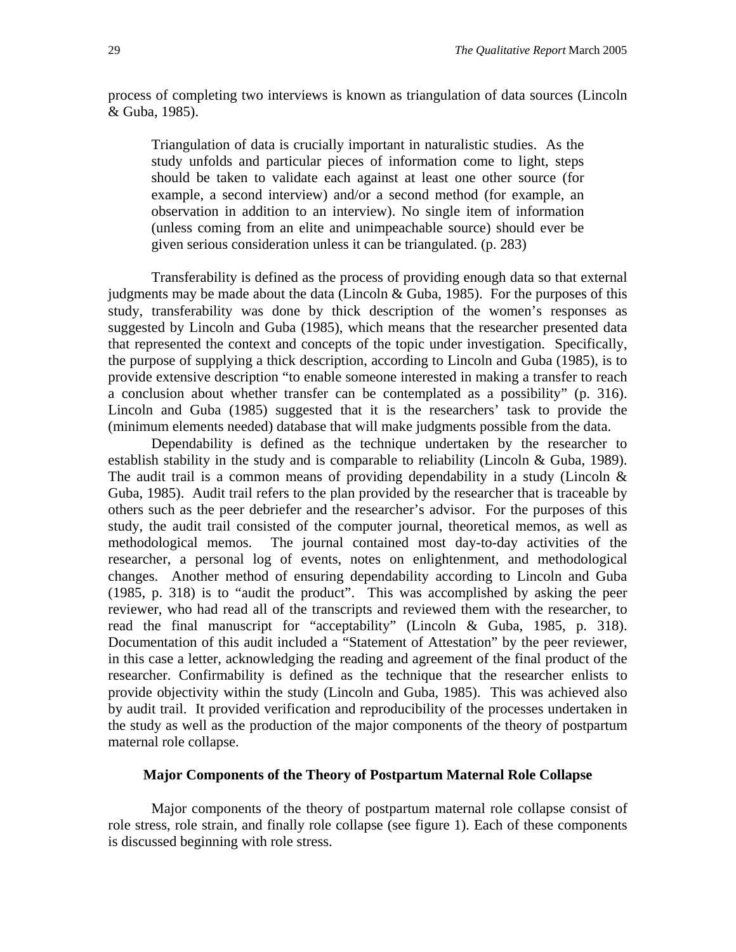process of completing two interviews is known as triangulation of data sources (Lincoln & Guba, 1985).

Triangulation of data is crucially important in naturalistic studies. As the study unfolds and particular pieces of information come to light, steps should be taken to validate each against at least one other source (for example, a second interview) and/or a second method (for example, an observation in addition to an interview). No single item of information (unless coming from an elite and unimpeachable source) should ever be given serious consideration unless it can be triangulated. (p. 283)

Transferability is defined as the process of providing enough data so that external judgments may be made about the data (Lincoln & Guba, 1985). For the purposes of this study, transferability was done by thick description of the women's responses as suggested by Lincoln and Guba (1985), which means that the researcher presented data that represented the context and concepts of the topic under investigation. Specifically, the purpose of supplying a thick description, according to Lincoln and Guba (1985), is to provide extensive description "to enable someone interested in making a transfer to reach a conclusion about whether transfer can be contemplated as a possibility" (p. 316). Lincoln and Guba (1985) suggested that it is the researchers' task to provide the (minimum elements needed) database that will make judgments possible from the data.

Dependability is defined as the technique undertaken by the researcher to establish stability in the study and is comparable to reliability (Lincoln & Guba, 1989). The audit trail is a common means of providing dependability in a study (Lincoln  $\&$ Guba, 1985). Audit trail refers to the plan provided by the researcher that is traceable by others such as the peer debriefer and the researcher's advisor. For the purposes of this study, the audit trail consisted of the computer journal, theoretical memos, as well as methodological memos. The journal contained most day-to-day activities of the researcher, a personal log of events, notes on enlightenment, and methodological changes. Another method of ensuring dependability according to Lincoln and Guba (1985, p. 318) is to "audit the product". This was accomplished by asking the peer reviewer, who had read all of the transcripts and reviewed them with the researcher, to read the final manuscript for "acceptability" (Lincoln & Guba, 1985, p. 318). Documentation of this audit included a "Statement of Attestation" by the peer reviewer, in this case a letter, acknowledging the reading and agreement of the final product of the researcher. Confirmability is defined as the technique that the researcher enlists to provide objectivity within the study (Lincoln and Guba, 1985). This was achieved also by audit trail. It provided verification and reproducibility of the processes undertaken in the study as well as the production of the major components of the theory of postpartum maternal role collapse.

## **Major Components of the Theory of Postpartum Maternal Role Collapse**

Major components of the theory of postpartum maternal role collapse consist of role stress, role strain, and finally role collapse (see figure 1). Each of these components is discussed beginning with role stress.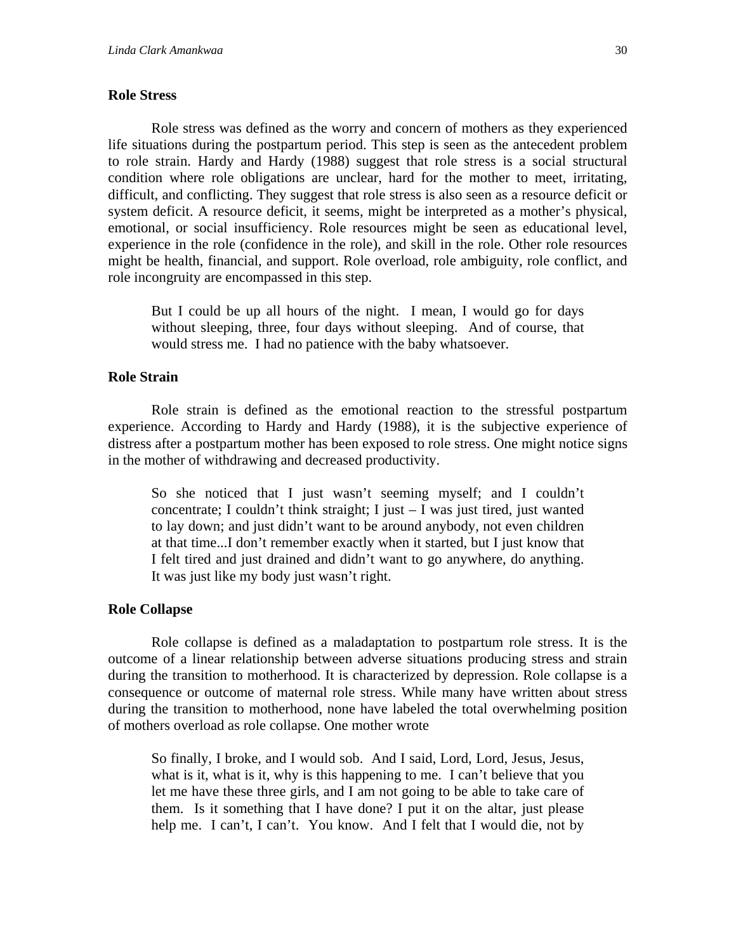## **Role Stress**

Role stress was defined as the worry and concern of mothers as they experienced life situations during the postpartum period. This step is seen as the antecedent problem to role strain. Hardy and Hardy (1988) suggest that role stress is a social structural condition where role obligations are unclear, hard for the mother to meet, irritating, difficult, and conflicting. They suggest that role stress is also seen as a resource deficit or system deficit. A resource deficit, it seems, might be interpreted as a mother's physical, emotional, or social insufficiency. Role resources might be seen as educational level, experience in the role (confidence in the role), and skill in the role. Other role resources might be health, financial, and support. Role overload, role ambiguity, role conflict, and role incongruity are encompassed in this step.

But I could be up all hours of the night. I mean, I would go for days without sleeping, three, four days without sleeping. And of course, that would stress me. I had no patience with the baby whatsoever.

## **Role Strain**

Role strain is defined as the emotional reaction to the stressful postpartum experience. According to Hardy and Hardy (1988), it is the subjective experience of distress after a postpartum mother has been exposed to role stress. One might notice signs in the mother of withdrawing and decreased productivity.

So she noticed that I just wasn't seeming myself; and I couldn't concentrate; I couldn't think straight; I just  $-$  I was just tired, just wanted to lay down; and just didn't want to be around anybody, not even children at that time...I don't remember exactly when it started, but I just know that I felt tired and just drained and didn't want to go anywhere, do anything. It was just like my body just wasn't right.

## **Role Collapse**

Role collapse is defined as a maladaptation to postpartum role stress. It is the outcome of a linear relationship between adverse situations producing stress and strain during the transition to motherhood. It is characterized by depression. Role collapse is a consequence or outcome of maternal role stress. While many have written about stress during the transition to motherhood, none have labeled the total overwhelming position of mothers overload as role collapse. One mother wrote

So finally, I broke, and I would sob. And I said, Lord, Lord, Jesus, Jesus, what is it, what is it, why is this happening to me. I can't believe that you let me have these three girls, and I am not going to be able to take care of them. Is it something that I have done? I put it on the altar, just please help me. I can't, I can't. You know. And I felt that I would die, not by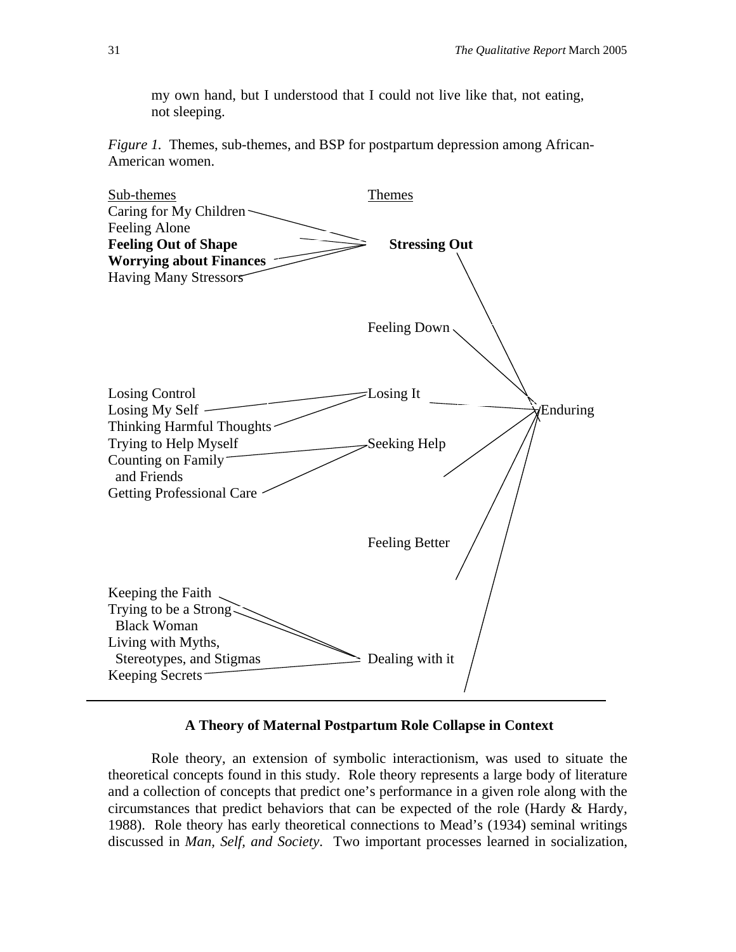my own hand, but I understood that I could not live like that, not eating, not sleeping.

*Figure 1.* Themes, sub-themes, and BSP for postpartum depression among African-American women.



## **A Theory of Maternal Postpartum Role Collapse in Context**

Role theory, an extension of symbolic interactionism, was used to situate the theoretical concepts found in this study. Role theory represents a large body of literature and a collection of concepts that predict one's performance in a given role along with the circumstances that predict behaviors that can be expected of the role (Hardy & Hardy, 1988). Role theory has early theoretical connections to Mead's (1934) seminal writings discussed in *Man, Self, and Society*. Two important processes learned in socialization,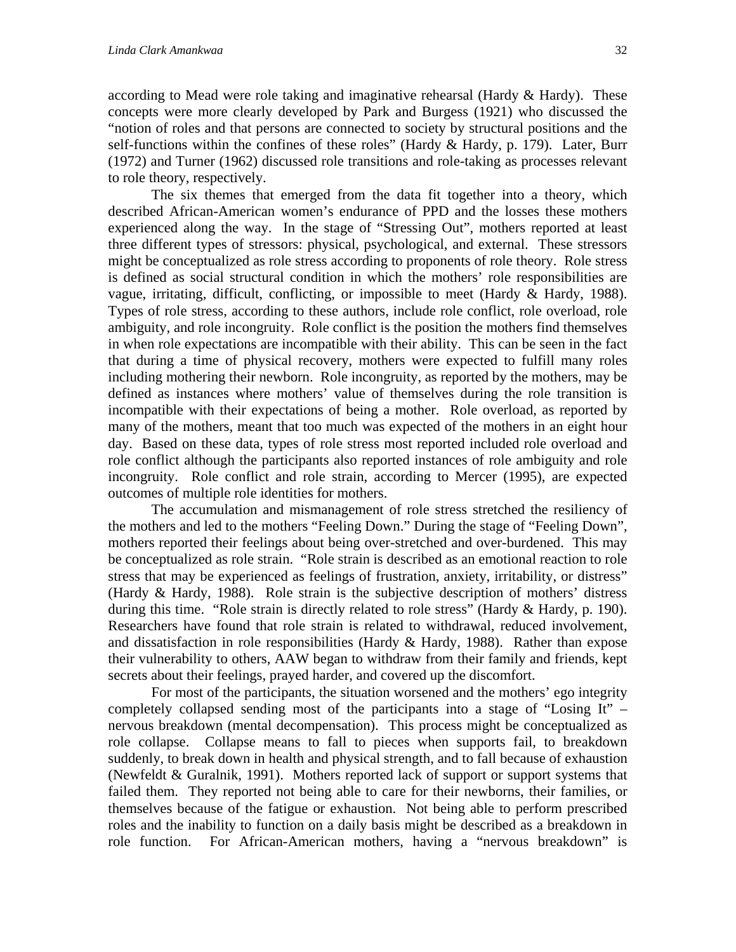according to Mead were role taking and imaginative rehearsal (Hardy  $\&$  Hardy). These concepts were more clearly developed by Park and Burgess (1921) who discussed the "notion of roles and that persons are connected to society by structural positions and the self-functions within the confines of these roles" (Hardy & Hardy, p. 179). Later, Burr (1972) and Turner (1962) discussed role transitions and role-taking as processes relevant to role theory, respectively.

The six themes that emerged from the data fit together into a theory, which described African-American women's endurance of PPD and the losses these mothers experienced along the way. In the stage of "Stressing Out", mothers reported at least three different types of stressors: physical, psychological, and external. These stressors might be conceptualized as role stress according to proponents of role theory. Role stress is defined as social structural condition in which the mothers' role responsibilities are vague, irritating, difficult, conflicting, or impossible to meet (Hardy & Hardy, 1988). Types of role stress, according to these authors, include role conflict, role overload, role ambiguity, and role incongruity. Role conflict is the position the mothers find themselves in when role expectations are incompatible with their ability. This can be seen in the fact that during a time of physical recovery, mothers were expected to fulfill many roles including mothering their newborn. Role incongruity, as reported by the mothers, may be defined as instances where mothers' value of themselves during the role transition is incompatible with their expectations of being a mother. Role overload, as reported by many of the mothers, meant that too much was expected of the mothers in an eight hour day. Based on these data, types of role stress most reported included role overload and role conflict although the participants also reported instances of role ambiguity and role incongruity. Role conflict and role strain, according to Mercer (1995), are expected outcomes of multiple role identities for mothers.

The accumulation and mismanagement of role stress stretched the resiliency of the mothers and led to the mothers "Feeling Down." During the stage of "Feeling Down", mothers reported their feelings about being over-stretched and over-burdened. This may be conceptualized as role strain. "Role strain is described as an emotional reaction to role stress that may be experienced as feelings of frustration, anxiety, irritability, or distress" (Hardy & Hardy, 1988). Role strain is the subjective description of mothers' distress during this time. "Role strain is directly related to role stress" (Hardy & Hardy, p. 190). Researchers have found that role strain is related to withdrawal, reduced involvement, and dissatisfaction in role responsibilities (Hardy & Hardy, 1988). Rather than expose their vulnerability to others, AAW began to withdraw from their family and friends, kept secrets about their feelings, prayed harder, and covered up the discomfort.

For most of the participants, the situation worsened and the mothers' ego integrity completely collapsed sending most of the participants into a stage of "Losing It" – nervous breakdown (mental decompensation). This process might be conceptualized as role collapse. Collapse means to fall to pieces when supports fail, to breakdown suddenly, to break down in health and physical strength, and to fall because of exhaustion (Newfeldt & Guralnik, 1991). Mothers reported lack of support or support systems that failed them. They reported not being able to care for their newborns, their families, or themselves because of the fatigue or exhaustion. Not being able to perform prescribed roles and the inability to function on a daily basis might be described as a breakdown in role function. For African-American mothers, having a "nervous breakdown" is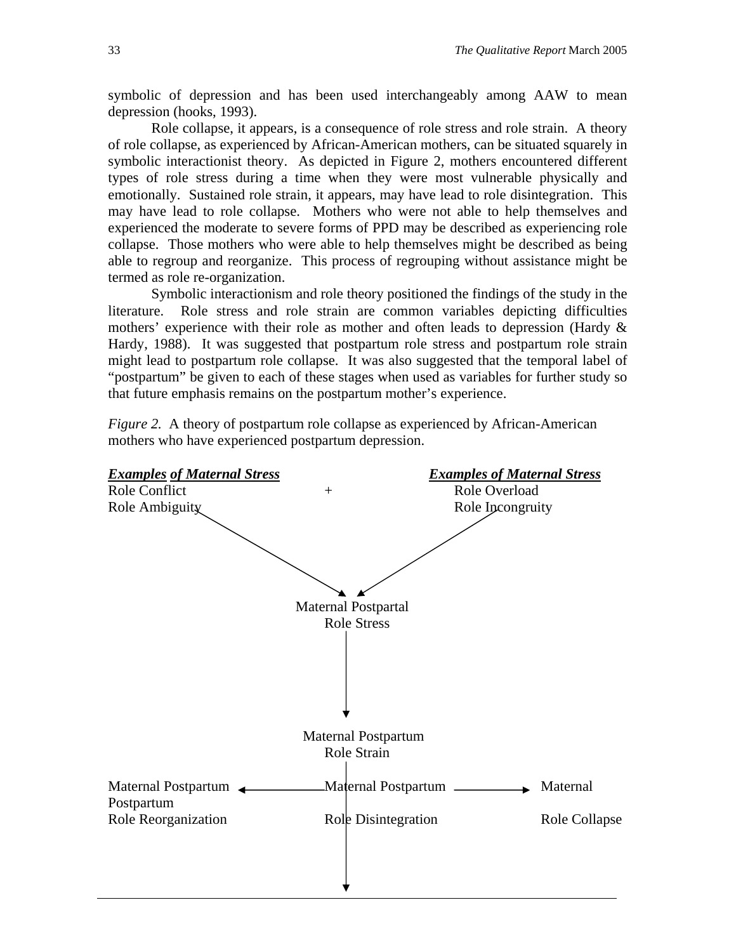symbolic of depression and has been used interchangeably among AAW to mean depression (hooks, 1993).

Role collapse, it appears, is a consequence of role stress and role strain. A theory of role collapse, as experienced by African-American mothers, can be situated squarely in symbolic interactionist theory. As depicted in Figure 2, mothers encountered different types of role stress during a time when they were most vulnerable physically and emotionally. Sustained role strain, it appears, may have lead to role disintegration. This may have lead to role collapse. Mothers who were not able to help themselves and experienced the moderate to severe forms of PPD may be described as experiencing role collapse. Those mothers who were able to help themselves might be described as being able to regroup and reorganize. This process of regrouping without assistance might be termed as role re-organization.

Symbolic interactionism and role theory positioned the findings of the study in the literature. Role stress and role strain are common variables depicting difficulties mothers' experience with their role as mother and often leads to depression (Hardy & Hardy, 1988). It was suggested that postpartum role stress and postpartum role strain might lead to postpartum role collapse. It was also suggested that the temporal label of "postpartum" be given to each of these stages when used as variables for further study so that future emphasis remains on the postpartum mother's experience.

*Figure 2.* A theory of postpartum role collapse as experienced by African-American mothers who have experienced postpartum depression.

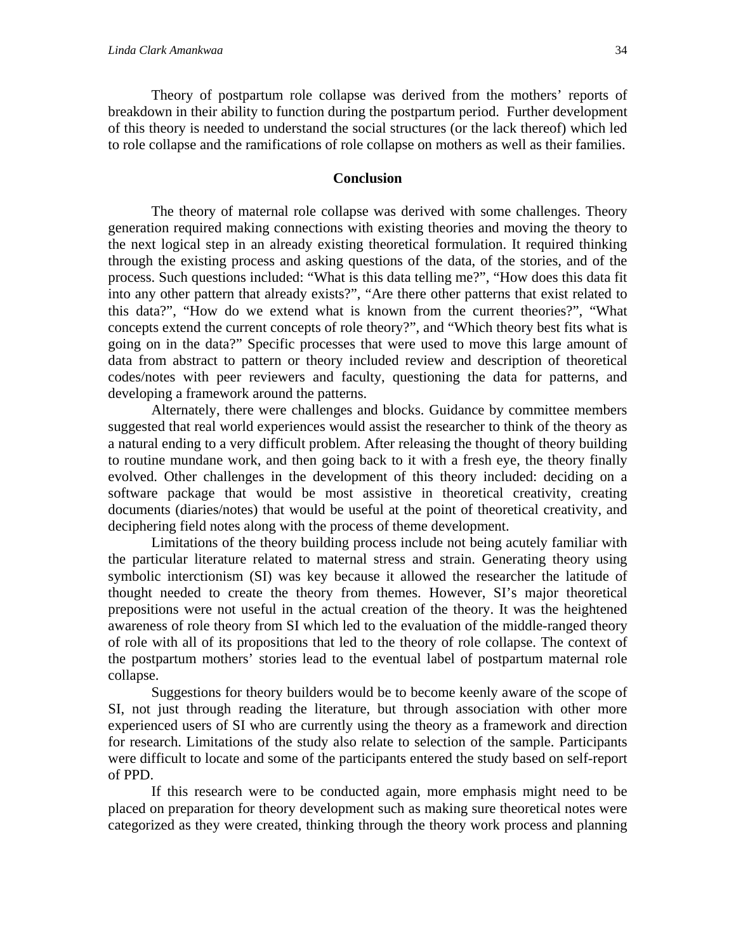Theory of postpartum role collapse was derived from the mothers' reports of breakdown in their ability to function during the postpartum period. Further development of this theory is needed to understand the social structures (or the lack thereof) which led to role collapse and the ramifications of role collapse on mothers as well as their families.

#### **Conclusion**

The theory of maternal role collapse was derived with some challenges. Theory generation required making connections with existing theories and moving the theory to the next logical step in an already existing theoretical formulation. It required thinking through the existing process and asking questions of the data, of the stories, and of the process. Such questions included: "What is this data telling me?", "How does this data fit into any other pattern that already exists?", "Are there other patterns that exist related to this data?", "How do we extend what is known from the current theories?", "What concepts extend the current concepts of role theory?", and "Which theory best fits what is going on in the data?" Specific processes that were used to move this large amount of data from abstract to pattern or theory included review and description of theoretical codes/notes with peer reviewers and faculty, questioning the data for patterns, and developing a framework around the patterns.

Alternately, there were challenges and blocks. Guidance by committee members suggested that real world experiences would assist the researcher to think of the theory as a natural ending to a very difficult problem. After releasing the thought of theory building to routine mundane work, and then going back to it with a fresh eye, the theory finally evolved. Other challenges in the development of this theory included: deciding on a software package that would be most assistive in theoretical creativity, creating documents (diaries/notes) that would be useful at the point of theoretical creativity, and deciphering field notes along with the process of theme development.

Limitations of the theory building process include not being acutely familiar with the particular literature related to maternal stress and strain. Generating theory using symbolic interctionism (SI) was key because it allowed the researcher the latitude of thought needed to create the theory from themes. However, SI's major theoretical prepositions were not useful in the actual creation of the theory. It was the heightened awareness of role theory from SI which led to the evaluation of the middle-ranged theory of role with all of its propositions that led to the theory of role collapse. The context of the postpartum mothers' stories lead to the eventual label of postpartum maternal role collapse.

Suggestions for theory builders would be to become keenly aware of the scope of SI, not just through reading the literature, but through association with other more experienced users of SI who are currently using the theory as a framework and direction for research. Limitations of the study also relate to selection of the sample. Participants were difficult to locate and some of the participants entered the study based on self-report of PPD.

If this research were to be conducted again, more emphasis might need to be placed on preparation for theory development such as making sure theoretical notes were categorized as they were created, thinking through the theory work process and planning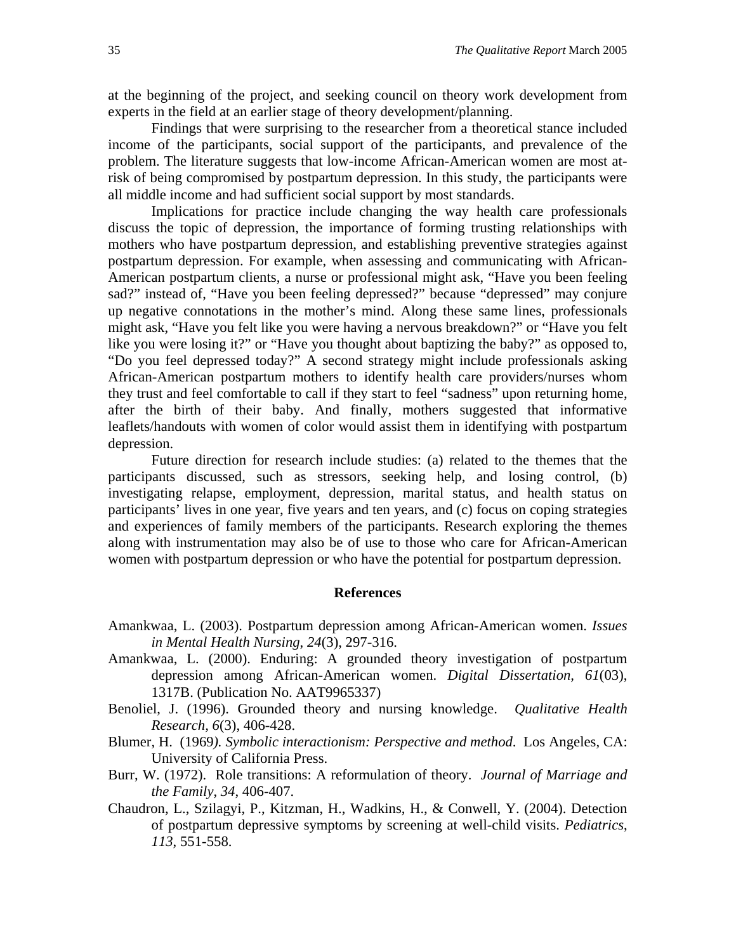at the beginning of the project, and seeking council on theory work development from experts in the field at an earlier stage of theory development/planning.

Findings that were surprising to the researcher from a theoretical stance included income of the participants, social support of the participants, and prevalence of the problem. The literature suggests that low-income African-American women are most atrisk of being compromised by postpartum depression. In this study, the participants were all middle income and had sufficient social support by most standards.

Implications for practice include changing the way health care professionals discuss the topic of depression, the importance of forming trusting relationships with mothers who have postpartum depression, and establishing preventive strategies against postpartum depression. For example, when assessing and communicating with African-American postpartum clients, a nurse or professional might ask, "Have you been feeling sad?" instead of, "Have you been feeling depressed?" because "depressed" may conjure up negative connotations in the mother's mind. Along these same lines, professionals might ask, "Have you felt like you were having a nervous breakdown?" or "Have you felt like you were losing it?" or "Have you thought about baptizing the baby?" as opposed to, "Do you feel depressed today?" A second strategy might include professionals asking African-American postpartum mothers to identify health care providers/nurses whom they trust and feel comfortable to call if they start to feel "sadness" upon returning home, after the birth of their baby. And finally, mothers suggested that informative leaflets/handouts with women of color would assist them in identifying with postpartum depression.

Future direction for research include studies: (a) related to the themes that the participants discussed, such as stressors, seeking help, and losing control, (b) investigating relapse, employment, depression, marital status, and health status on participants' lives in one year, five years and ten years, and (c) focus on coping strategies and experiences of family members of the participants. Research exploring the themes along with instrumentation may also be of use to those who care for African-American women with postpartum depression or who have the potential for postpartum depression.

#### **References**

- Amankwaa, L. (2003). Postpartum depression among African-American women. *Issues in Mental Health Nursing*, *24*(3), 297-316.
- Amankwaa, L. (2000). Enduring: A grounded theory investigation of postpartum depression among African-American women. *Digital Dissertation, 61*(03), 1317B. (Publication No. AAT9965337)
- Benoliel, J. (1996). Grounded theory and nursing knowledge. *Qualitative Health Research, 6*(3), 406-428.
- Blumer, H. (1969*). Symbolic interactionism: Perspective and method*. Los Angeles, CA: University of California Press.
- Burr, W. (1972). Role transitions: A reformulation of theory. *Journal of Marriage and the Family*, *34*, 406-407.
- Chaudron, L., Szilagyi, P., Kitzman, H., Wadkins, H., & Conwell, Y. (2004). Detection of postpartum depressive symptoms by screening at well-child visits. *Pediatrics*, *113*, 551-558.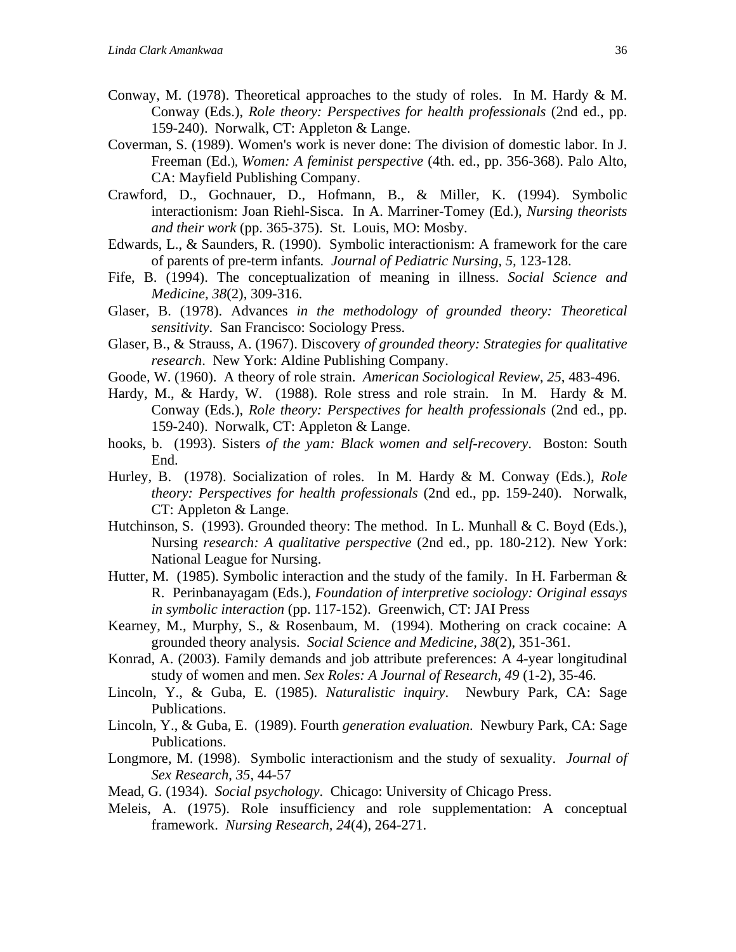- Conway, M. (1978). Theoretical approaches to the study of roles. In M. Hardy & M. Conway (Eds.), *Role theory: Perspectives for health professionals* (2nd ed., pp. 159-240). Norwalk, CT: Appleton & Lange.
- Coverman, S. (1989). Women's work is never done: The division of domestic labor. In J. Freeman (Ed.), *Women: A feminist perspective* (4th. ed., pp. 356-368). Palo Alto, CA: Mayfield Publishing Company.
- Crawford, D., Gochnauer, D., Hofmann, B., & Miller, K. (1994). Symbolic interactionism: Joan Riehl-Sisca. In A. Marriner-Tomey (Ed.), *Nursing theorists and their work* (pp. 365-375). St. Louis, MO: Mosby.
- Edwards, L., & Saunders, R. (1990). Symbolic interactionism: A framework for the care of parents of pre-term infants*. Journal of Pediatric Nursing, 5,* 123-128.
- Fife, B. (1994). The conceptualization of meaning in illness. *Social Science and Medicine, 38*(2), 309-316.
- Glaser, B. (1978). Advances *in the methodology of grounded theory: Theoretical sensitivity*. San Francisco: Sociology Press.
- Glaser, B., & Strauss, A. (1967). Discovery *of grounded theory: Strategies for qualitative research*. New York: Aldine Publishing Company.
- Goode*,* W. (1960). A theory of role strain. *American Sociological Review*, *25*, 483-496.
- Hardy, M., & Hardy, W. (1988). Role stress and role strain. In M. Hardy & M. Conway (Eds.), *Role theory: Perspectives for health professionals* (2nd ed., pp. 159-240). Norwalk, CT: Appleton & Lange.
- hooks, b. (1993). Sisters *of the yam: Black women and self-recovery*. Boston: South End.
- Hurley, B. (1978). Socialization of roles. In M. Hardy & M. Conway (Eds.), *Role theory: Perspectives for health professionals* (2nd ed., pp. 159-240). Norwalk, CT: Appleton & Lange.
- Hutchinson, S. (1993). Grounded theory: The method. In L. Munhall & C. Boyd (Eds.), Nursing *research: A qualitative perspective* (2nd ed., pp. 180-212). New York: National League for Nursing.
- Hutter, M. (1985). Symbolic interaction and the study of the family. In H. Farberman & R. Perinbanayagam (Eds.), *Foundation of interpretive sociology: Original essays in symbolic interaction* (pp. 117-152). Greenwich, CT: JAI Press
- Kearney, M., Murphy, S., & Rosenbaum, M. (1994). Mothering on crack cocaine: A grounded theory analysis. *Social Science and Medicine, 38*(2), 351-361.
- Konrad, A. (2003). Family demands and job attribute preferences: A 4-year longitudinal study of women and men. *Sex Roles: A Journal of Research, 49* (1-2), 35-46.
- Lincoln, Y., & Guba, E. (1985). *Naturalistic inquiry*. Newbury Park, CA: Sage Publications.
- Lincoln, Y., & Guba, E. (1989). Fourth *generation evaluation*. Newbury Park, CA: Sage Publications.
- Longmore, M. (1998). Symbolic interactionism and the study of sexuality. *Journal of Sex Research*, *35*, 44-57
- Mead, G. (1934). *Social psychology*. Chicago: University of Chicago Press.
- Meleis, A. (1975). Role insufficiency and role supplementation: A conceptual framework. *Nursing Research, 24*(4), 264-271.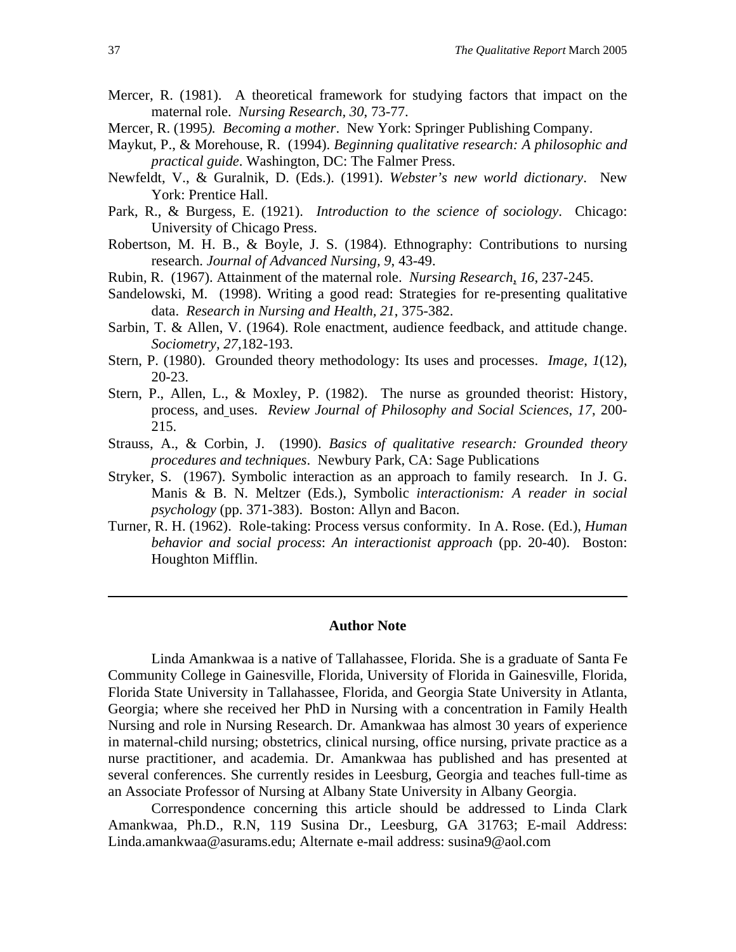- Mercer, R. (1981). A theoretical framework for studying factors that impact on the maternal role. *Nursing Research, 30*, 73-77.
- Mercer, R. (1995*). Becoming a mother*. New York: Springer Publishing Company.
- Maykut, P., & Morehouse, R. (1994). *Beginning qualitative research: A philosophic and practical guide*. Washington, DC: The Falmer Press.
- Newfeldt, V., & Guralnik, D. (Eds.). (1991). *Webster's new world dictionary*. New York: Prentice Hall.
- Park, R., & Burgess, E. (1921). *Introduction to the science of sociology*. Chicago: University of Chicago Press.
- Robertson, M. H. B., & Boyle, J. S. (1984). Ethnography: Contributions to nursing research. *Journal of Advanced Nursing, 9*, 43-49.
- Rubin, R. (1967). Attainment of the maternal role. *Nursing Research, 16*, 237-245.
- Sandelowski, M. (1998). Writing a good read: Strategies for re-presenting qualitative data. *Research in Nursing and Health, 21*, 375-382.
- Sarbin, T. & Allen, V. (1964). Role enactment, audience feedback, and attitude change. *Sociometry*, *27*,182-193.
- Stern, P. (1980). Grounded theory methodology: Its uses and processes. *Image*, *1*(12), 20-23.
- Stern, P., Allen, L., & Moxley, P. (1982). The nurse as grounded theorist: History, process, and uses. *Review Journal of Philosophy and Social Sciences*, *17*, 200- 215.
- Strauss, A., & Corbin, J. (1990). *Basics of qualitative research: Grounded theory procedures and techniques*. Newbury Park, CA: Sage Publications
- Stryker, S. (1967). Symbolic interaction as an approach to family research. In J. G. Manis & B. N. Meltzer (Eds.), Symbolic *interactionism: A reader in social psychology* (pp. 371-383). Boston: Allyn and Bacon.
- Turner, R. H. (1962). Role-taking: Process versus conformity. In A. Rose. (Ed.), *Human behavior and social process*: *An interactionist approach* (pp. 20-40). Boston: Houghton Mifflin.

#### **Author Note**

Linda Amankwaa is a native of Tallahassee, Florida. She is a graduate of Santa Fe Community College in Gainesville, Florida, University of Florida in Gainesville, Florida, Florida State University in Tallahassee, Florida, and Georgia State University in Atlanta, Georgia; where she received her PhD in Nursing with a concentration in Family Health Nursing and role in Nursing Research. Dr. Amankwaa has almost 30 years of experience in maternal-child nursing; obstetrics, clinical nursing, office nursing, private practice as a nurse practitioner, and academia. Dr. Amankwaa has published and has presented at several conferences. She currently resides in Leesburg, Georgia and teaches full-time as an Associate Professor of Nursing at Albany State University in Albany Georgia.

Correspondence concerning this article should be addressed to Linda Clark Amankwaa, Ph.D., R.N, 119 Susina Dr., Leesburg, GA 31763; E-mail Address: Linda.amankwaa@asurams.edu; Alternate e-mail address: susina9@aol.com